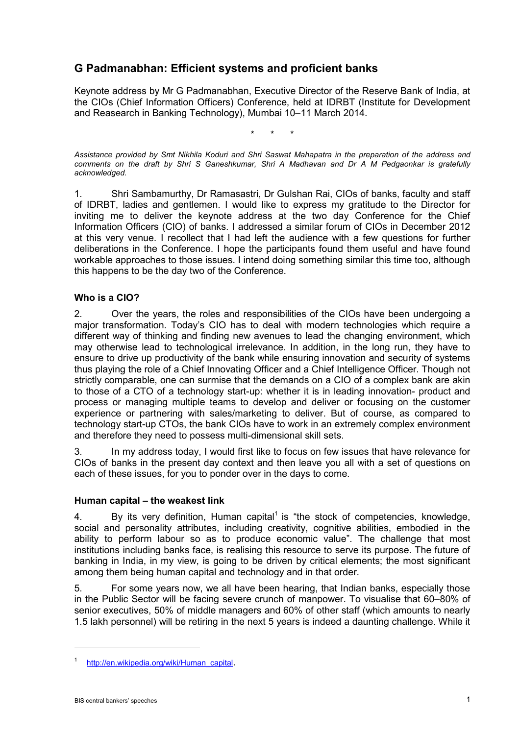# **G Padmanabhan: Efficient systems and proficient banks**

Keynote address by Mr G Padmanabhan, Executive Director of the Reserve Bank of India, at the CIOs (Chief Information Officers) Conference, held at IDRBT (Institute for Development and Reasearch in Banking Technology), Mumbai 10–11 March 2014.

\* \* \*

*Assistance provided by Smt Nikhila Koduri and Shri Saswat Mahapatra in the preparation of the address and comments on the draft by Shri S Ganeshkumar, Shri A Madhavan and Dr A M Pedgaonkar is gratefully acknowledged.*

1. Shri Sambamurthy, Dr Ramasastri, Dr Gulshan Rai, CIOs of banks, faculty and staff of IDRBT, ladies and gentlemen. I would like to express my gratitude to the Director for inviting me to deliver the keynote address at the two day Conference for the Chief Information Officers (CIO) of banks. I addressed a similar forum of CIOs in December 2012 at this very venue. I recollect that I had left the audience with a few questions for further deliberations in the Conference. I hope the participants found them useful and have found workable approaches to those issues. I intend doing something similar this time too, although this happens to be the day two of the Conference.

### **Who is a CIO?**

2. Over the years, the roles and responsibilities of the CIOs have been undergoing a major transformation. Today's CIO has to deal with modern technologies which require a different way of thinking and finding new avenues to lead the changing environment, which may otherwise lead to technological irrelevance. In addition, in the long run, they have to ensure to drive up productivity of the bank while ensuring innovation and security of systems thus playing the role of a Chief Innovating Officer and a Chief Intelligence Officer. Though not strictly comparable, one can surmise that the demands on a CIO of a complex bank are akin to those of a CTO of a technology start-up: whether it is in leading innovation- product and process or managing multiple teams to develop and deliver or focusing on the customer experience or partnering with sales/marketing to deliver. But of course, as compared to technology start-up CTOs, the bank CIOs have to work in an extremely complex environment and therefore they need to possess multi-dimensional skill sets.

3. In my address today, I would first like to focus on few issues that have relevance for CIOs of banks in the present day context and then leave you all with a set of questions on each of these issues, for you to ponder over in the days to come.

### **Human capital – the weakest link**

4. By its very definition, Human capital<sup>1</sup> is "the stock of competencies, knowledge, social and personality attributes, including creativity, cognitive abilities, embodied in the ability to perform labour so as to produce economic value". The challenge that most institutions including banks face, is realising this resource to serve its purpose. The future of banking in India, in my view, is going to be driven by critical elements; the most significant among them being human capital and technology and in that order.

5. For some years now, we all have been hearing, that Indian banks, especially those in the Public Sector will be facing severe crunch of manpower. To visualise that 60–80% of senior executives, 50% of middle managers and 60% of other staff (which amounts to nearly 1.5 lakh personnel) will be retiring in the next 5 years is indeed a daunting challenge. While it

<u>.</u>

[http://en.wikipedia.org/wiki/Human\\_capital.](http://en.wikipedia.org/wiki/Human_capital)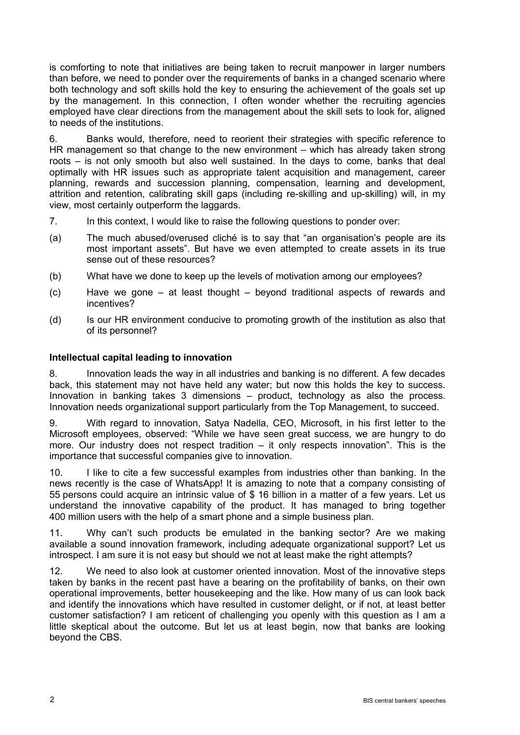is comforting to note that initiatives are being taken to recruit manpower in larger numbers than before, we need to ponder over the requirements of banks in a changed scenario where both technology and soft skills hold the key to ensuring the achievement of the goals set up by the management. In this connection, I often wonder whether the recruiting agencies employed have clear directions from the management about the skill sets to look for, aligned to needs of the institutions.

6. Banks would, therefore, need to reorient their strategies with specific reference to HR management so that change to the new environment – which has already taken strong roots – is not only smooth but also well sustained. In the days to come, banks that deal optimally with HR issues such as appropriate talent acquisition and management, career planning, rewards and succession planning, compensation, learning and development, attrition and retention, calibrating skill gaps (including re-skilling and up-skilling) will, in my view, most certainly outperform the laggards.

- 7. In this context, I would like to raise the following questions to ponder over:
- (a) The much abused/overused cliché is to say that "an organisation's people are its most important assets". But have we even attempted to create assets in its true sense out of these resources?
- (b) What have we done to keep up the levels of motivation among our employees?
- (c) Have we gone at least thought beyond traditional aspects of rewards and incentives?
- (d) Is our HR environment conducive to promoting growth of the institution as also that of its personnel?

# **Intellectual capital leading to innovation**

8. Innovation leads the way in all industries and banking is no different. A few decades back, this statement may not have held any water; but now this holds the key to success. Innovation in banking takes 3 dimensions – product, technology as also the process. Innovation needs organizational support particularly from the Top Management, to succeed.

9. With regard to innovation, Satya Nadella, CEO, Microsoft, in his first letter to the Microsoft employees, observed: "While we have seen great success, we are hungry to do more. Our industry does not respect tradition – it only respects innovation". This is the importance that successful companies give to innovation.

10. I like to cite a few successful examples from industries other than banking. In the news recently is the case of WhatsApp! It is amazing to note that a company consisting of 55 persons could acquire an intrinsic value of \$ 16 billion in a matter of a few years. Let us understand the innovative capability of the product. It has managed to bring together 400 million users with the help of a smart phone and a simple business plan.

11. Why can't such products be emulated in the banking sector? Are we making available a sound innovation framework, including adequate organizational support? Let us introspect. I am sure it is not easy but should we not at least make the right attempts?

12. We need to also look at customer oriented innovation. Most of the innovative steps taken by banks in the recent past have a bearing on the profitability of banks, on their own operational improvements, better housekeeping and the like. How many of us can look back and identify the innovations which have resulted in customer delight, or if not, at least better customer satisfaction? I am reticent of challenging you openly with this question as I am a little skeptical about the outcome. But let us at least begin, now that banks are looking beyond the CBS.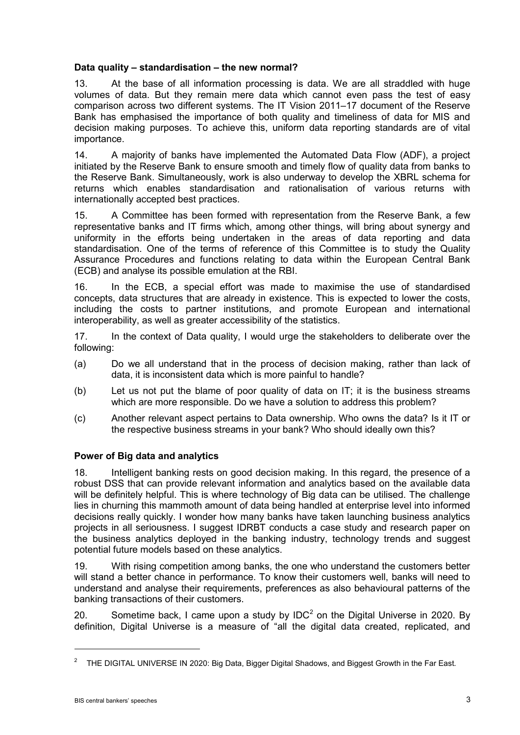### **Data quality – standardisation – the new normal?**

13. At the base of all information processing is data. We are all straddled with huge volumes of data. But they remain mere data which cannot even pass the test of easy comparison across two different systems. The IT Vision 2011–17 document of the Reserve Bank has emphasised the importance of both quality and timeliness of data for MIS and decision making purposes. To achieve this, uniform data reporting standards are of vital importance.

14. A majority of banks have implemented the Automated Data Flow (ADF), a project initiated by the Reserve Bank to ensure smooth and timely flow of quality data from banks to the Reserve Bank. Simultaneously, work is also underway to develop the XBRL schema for returns which enables standardisation and rationalisation of various returns with internationally accepted best practices.

15. A Committee has been formed with representation from the Reserve Bank, a few representative banks and IT firms which, among other things, will bring about synergy and uniformity in the efforts being undertaken in the areas of data reporting and data standardisation. One of the terms of reference of this Committee is to study the Quality Assurance Procedures and functions relating to data within the European Central Bank (ECB) and analyse its possible emulation at the RBI.

16. In the ECB, a special effort was made to maximise the use of standardised concepts, data structures that are already in existence. This is expected to lower the costs, including the costs to partner institutions, and promote European and international interoperability, as well as greater accessibility of the statistics.

17. In the context of Data quality, I would urge the stakeholders to deliberate over the following:

- (a) Do we all understand that in the process of decision making, rather than lack of data, it is inconsistent data which is more painful to handle?
- (b) Let us not put the blame of poor quality of data on IT; it is the business streams which are more responsible. Do we have a solution to address this problem?
- (c) Another relevant aspect pertains to Data ownership. Who owns the data? Is it IT or the respective business streams in your bank? Who should ideally own this?

# **Power of Big data and analytics**

18. Intelligent banking rests on good decision making. In this regard, the presence of a robust DSS that can provide relevant information and analytics based on the available data will be definitely helpful. This is where technology of Big data can be utilised. The challenge lies in churning this mammoth amount of data being handled at enterprise level into informed decisions really quickly. I wonder how many banks have taken launching business analytics projects in all seriousness. I suggest IDRBT conducts a case study and research paper on the business analytics deployed in the banking industry, technology trends and suggest potential future models based on these analytics.

19. With rising competition among banks, the one who understand the customers better will stand a better chance in performance. To know their customers well, banks will need to understand and analyse their requirements, preferences as also behavioural patterns of the banking transactions of their customers.

20. Sometime back, I came upon a study by IDC<sup>2</sup> on the Digital Universe in 2020. By definition, Digital Universe is a measure of "all the digital data created, replicated, and

-

<sup>2</sup> THE DIGITAL UNIVERSE IN 2020: Big Data, Bigger Digital Shadows, and Biggest Growth in the Far East.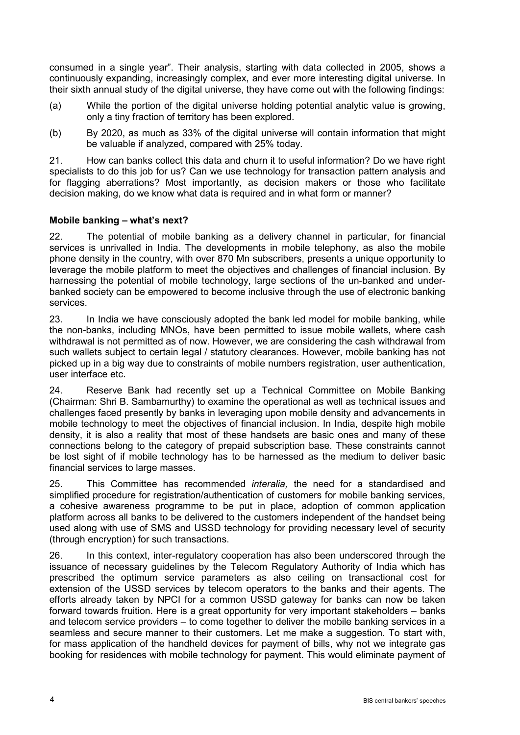consumed in a single year". Their analysis, starting with data collected in 2005, shows a continuously expanding, increasingly complex, and ever more interesting digital universe. In their sixth annual study of the digital universe, they have come out with the following findings:

- (a) While the portion of the digital universe holding potential analytic value is growing, only a tiny fraction of territory has been explored.
- (b) By 2020, as much as 33% of the digital universe will contain information that might be valuable if analyzed, compared with 25% today.

21. How can banks collect this data and churn it to useful information? Do we have right specialists to do this job for us? Can we use technology for transaction pattern analysis and for flagging aberrations? Most importantly, as decision makers or those who facilitate decision making, do we know what data is required and in what form or manner?

# **Mobile banking – what's next?**

22. The potential of mobile banking as a delivery channel in particular, for financial services is unrivalled in India. The developments in mobile telephony, as also the mobile phone density in the country, with over 870 Mn subscribers, presents a unique opportunity to leverage the mobile platform to meet the objectives and challenges of financial inclusion. By harnessing the potential of mobile technology, large sections of the un-banked and underbanked society can be empowered to become inclusive through the use of electronic banking services.

23. In India we have consciously adopted the bank led model for mobile banking, while the non-banks, including MNOs, have been permitted to issue mobile wallets, where cash withdrawal is not permitted as of now. However, we are considering the cash withdrawal from such wallets subject to certain legal / statutory clearances. However, mobile banking has not picked up in a big way due to constraints of mobile numbers registration, user authentication, user interface etc.

24. Reserve Bank had recently set up a Technical Committee on Mobile Banking (Chairman: Shri B. Sambamurthy) to examine the operational as well as technical issues and challenges faced presently by banks in leveraging upon mobile density and advancements in mobile technology to meet the objectives of financial inclusion. In India, despite high mobile density, it is also a reality that most of these handsets are basic ones and many of these connections belong to the category of prepaid subscription base. These constraints cannot be lost sight of if mobile technology has to be harnessed as the medium to deliver basic financial services to large masses.

25. This Committee has recommended *interalia,* the need for a standardised and simplified procedure for registration/authentication of customers for mobile banking services, a cohesive awareness programme to be put in place, adoption of common application platform across all banks to be delivered to the customers independent of the handset being used along with use of SMS and USSD technology for providing necessary level of security (through encryption) for such transactions.

26. In this context, inter-regulatory cooperation has also been underscored through the issuance of necessary guidelines by the Telecom Regulatory Authority of India which has prescribed the optimum service parameters as also ceiling on transactional cost for extension of the USSD services by telecom operators to the banks and their agents. The efforts already taken by NPCI for a common USSD gateway for banks can now be taken forward towards fruition. Here is a great opportunity for very important stakeholders – banks and telecom service providers – to come together to deliver the mobile banking services in a seamless and secure manner to their customers. Let me make a suggestion. To start with, for mass application of the handheld devices for payment of bills, why not we integrate gas booking for residences with mobile technology for payment. This would eliminate payment of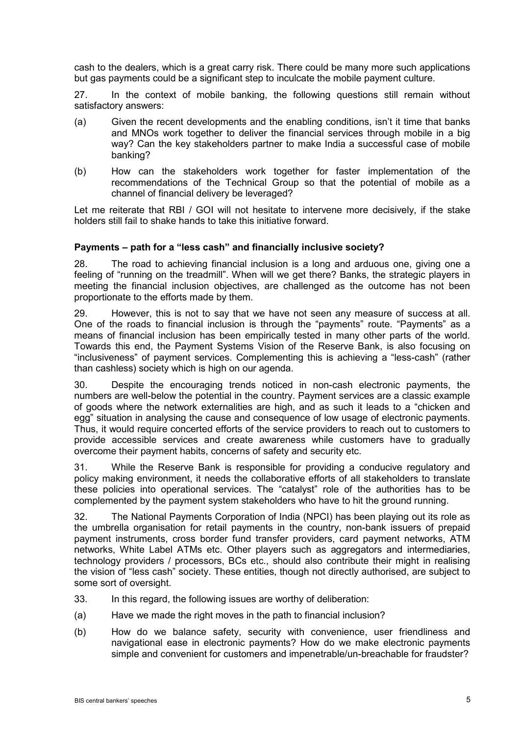cash to the dealers, which is a great carry risk. There could be many more such applications but gas payments could be a significant step to inculcate the mobile payment culture.

27. In the context of mobile banking, the following questions still remain without satisfactory answers:

- (a) Given the recent developments and the enabling conditions, isn't it time that banks and MNOs work together to deliver the financial services through mobile in a big way? Can the key stakeholders partner to make India a successful case of mobile banking?
- (b) How can the stakeholders work together for faster implementation of the recommendations of the Technical Group so that the potential of mobile as a channel of financial delivery be leveraged?

Let me reiterate that RBI / GOI will not hesitate to intervene more decisively, if the stake holders still fail to shake hands to take this initiative forward.

### **Payments – path for a "less cash" and financially inclusive society?**

28. The road to achieving financial inclusion is a long and arduous one, giving one a feeling of "running on the treadmill". When will we get there? Banks, the strategic players in meeting the financial inclusion objectives, are challenged as the outcome has not been proportionate to the efforts made by them.

29. However, this is not to say that we have not seen any measure of success at all. One of the roads to financial inclusion is through the "payments" route. "Payments" as a means of financial inclusion has been empirically tested in many other parts of the world. Towards this end, the Payment Systems Vision of the Reserve Bank, is also focusing on "inclusiveness" of payment services. Complementing this is achieving a "less-cash" (rather than cashless) society which is high on our agenda.

30. Despite the encouraging trends noticed in non-cash electronic payments, the numbers are well-below the potential in the country. Payment services are a classic example of goods where the network externalities are high, and as such it leads to a "chicken and egg" situation in analysing the cause and consequence of low usage of electronic payments. Thus, it would require concerted efforts of the service providers to reach out to customers to provide accessible services and create awareness while customers have to gradually overcome their payment habits, concerns of safety and security etc.

31. While the Reserve Bank is responsible for providing a conducive regulatory and policy making environment, it needs the collaborative efforts of all stakeholders to translate these policies into operational services. The "catalyst" role of the authorities has to be complemented by the payment system stakeholders who have to hit the ground running.

32. The National Payments Corporation of India (NPCI) has been playing out its role as the umbrella organisation for retail payments in the country, non-bank issuers of prepaid payment instruments, cross border fund transfer providers, card payment networks, ATM networks, White Label ATMs etc. Other players such as aggregators and intermediaries, technology providers / processors, BCs etc., should also contribute their might in realising the vision of "less cash" society. These entities, though not directly authorised, are subject to some sort of oversight.

- 33. In this regard, the following issues are worthy of deliberation:
- (a) Have we made the right moves in the path to financial inclusion?
- (b) How do we balance safety, security with convenience, user friendliness and navigational ease in electronic payments? How do we make electronic payments simple and convenient for customers and impenetrable/un-breachable for fraudster?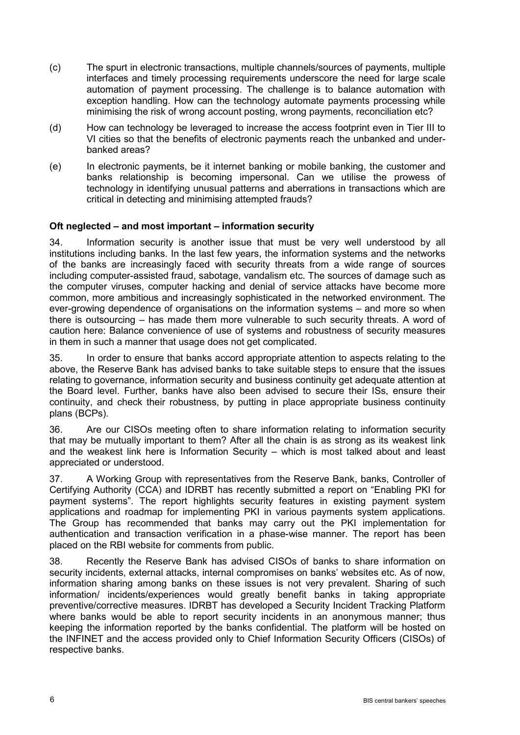- (c) The spurt in electronic transactions, multiple channels/sources of payments, multiple interfaces and timely processing requirements underscore the need for large scale automation of payment processing. The challenge is to balance automation with exception handling. How can the technology automate payments processing while minimising the risk of wrong account posting, wrong payments, reconciliation etc?
- (d) How can technology be leveraged to increase the access footprint even in Tier III to VI cities so that the benefits of electronic payments reach the unbanked and underbanked areas?
- (e) In electronic payments, be it internet banking or mobile banking, the customer and banks relationship is becoming impersonal. Can we utilise the prowess of technology in identifying unusual patterns and aberrations in transactions which are critical in detecting and minimising attempted frauds?

### **Oft neglected – and most important – information security**

34. Information security is another issue that must be very well understood by all institutions including banks. In the last few years, the information systems and the networks of the banks are increasingly faced with security threats from a wide range of sources including computer-assisted fraud, sabotage, vandalism etc. The sources of damage such as the computer viruses, computer hacking and denial of service attacks have become more common, more ambitious and increasingly sophisticated in the networked environment. The ever-growing dependence of organisations on the information systems – and more so when there is outsourcing – has made them more vulnerable to such security threats. A word of caution here: Balance convenience of use of systems and robustness of security measures in them in such a manner that usage does not get complicated.

35. In order to ensure that banks accord appropriate attention to aspects relating to the above, the Reserve Bank has advised banks to take suitable steps to ensure that the issues relating to governance, information security and business continuity get adequate attention at the Board level. Further, banks have also been advised to secure their ISs, ensure their continuity, and check their robustness, by putting in place appropriate business continuity plans (BCPs).

36. Are our CISOs meeting often to share information relating to information security that may be mutually important to them? After all the chain is as strong as its weakest link and the weakest link here is Information Security – which is most talked about and least appreciated or understood.

37. A Working Group with representatives from the Reserve Bank, banks, Controller of Certifying Authority (CCA) and IDRBT has recently submitted a report on "Enabling PKI for payment systems". The report highlights security features in existing payment system applications and roadmap for implementing PKI in various payments system applications. The Group has recommended that banks may carry out the PKI implementation for authentication and transaction verification in a phase-wise manner. The report has been placed on the RBI website for comments from public.

38. Recently the Reserve Bank has advised CISOs of banks to share information on security incidents, external attacks, internal compromises on banks' websites etc. As of now, information sharing among banks on these issues is not very prevalent. Sharing of such information/ incidents/experiences would greatly benefit banks in taking appropriate preventive/corrective measures. IDRBT has developed a Security Incident Tracking Platform where banks would be able to report security incidents in an anonymous manner; thus keeping the information reported by the banks confidential. The platform will be hosted on the INFINET and the access provided only to Chief Information Security Officers (CISOs) of respective banks.